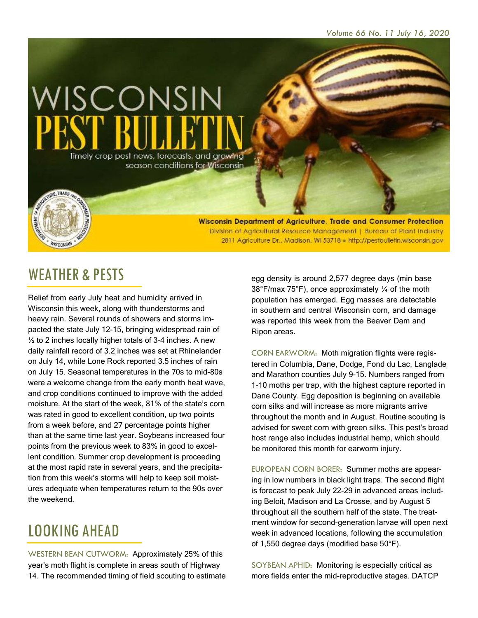

Wisconsin Department of Agriculture, Trade and Consumer Protection Division of Agricultural Resource Management | Bureau of Plant Industry 2811 Agriculture Dr., Madison, WI 53718 . http://pestbulletin.wisconsin.gov

#### WEATHER & PESTS

**WISCONSIN** 

Relief from early July heat and humidity arrived in Wisconsin this week, along with thunderstorms and heavy rain. Several rounds of showers and storms impacted the state July 12-15, bringing widespread rain of  $\frac{1}{2}$  to 2 inches locally higher totals of 3-4 inches. A new daily rainfall record of 3.2 inches was set at Rhinelander on July 14, while Lone Rock reported 3.5 inches of rain on July 15. Seasonal temperatures in the 70s to mid-80s were a welcome change from the early month heat wave, and crop conditions continued to improve with the added moisture. At the start of the week, 81% of the state's corn was rated in good to excellent condition, up two points from a week before, and 27 percentage points higher than at the same time last year. Soybeans increased four points from the previous week to 83% in good to excellent condition. Summer crop development is proceeding at the most rapid rate in several years, and the precipitation from this week's storms will help to keep soil moistures adequate when temperatures return to the 90s over the weekend.

# LOOKING AHEAD

WESTERN BEAN CUTWORM: Approximately 25% of this year's moth flight is complete in areas south of Highway 14. The recommended timing of field scouting to estimate

egg density is around 2,577 degree days (min base 38°F/max 75°F), once approximately ¼ of the moth population has emerged. Egg masses are detectable in southern and central Wisconsin corn, and damage was reported this week from the Beaver Dam and Ripon areas.

CORN EARWORM: Moth migration flights were registered in Columbia, Dane, Dodge, Fond du Lac, Langlade and Marathon counties July 9-15. Numbers ranged from 1-10 moths per trap, with the highest capture reported in Dane County. Egg deposition is beginning on available corn silks and will increase as more migrants arrive throughout the month and in August. Routine scouting is advised for sweet corn with green silks. This pest's broad host range also includes industrial hemp, which should be monitored this month for earworm injury.

EUROPEAN CORN BORER: Summer moths are appearing in low numbers in black light traps. The second flight is forecast to peak July 22-29 in advanced areas including Beloit, Madison and La Crosse, and by August 5 throughout all the southern half of the state. The treatment window for second-generation larvae will open next week in advanced locations, following the accumulation of 1,550 degree days (modified base 50°F).

SOYBEAN APHID: Monitoring is especially critical as more fields enter the mid-reproductive stages. DATCP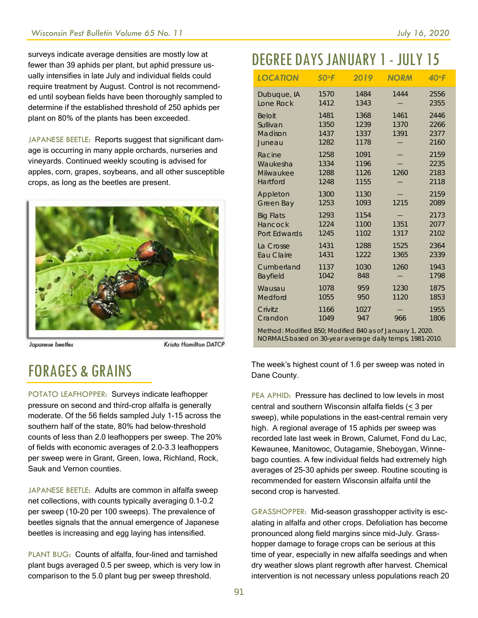surveys indicate average densities are mostly low at fewer than 39 aphids per plant, but aphid pressure usually intensifies in late July and individual fields could require treatment by August. Control is not recommended until soybean fields have been thoroughly sampled to determine if the established threshold of 250 aphids per plant on 80% of the plants has been exceeded.

JAPANESE BEETLE: Reports suggest that significant damage is occurring in many apple orchards, nurseries and vineyards. Continued weekly scouting is advised for apples, corn, grapes, soybeans, and all other susceptible crops, as long as the beetles are present.



Japanese beetles

**Krista Hamilton DATCP** 

# FORAGES & GRAINS

POTATO LEAFHOPPER: Surveys indicate leafhopper pressure on second and third-crop alfalfa is generally moderate. Of the 56 fields sampled July 1-15 across the southern half of the state, 80% had below-threshold counts of less than 2.0 leafhoppers per sweep. The 20% of fields with economic averages of 2.0-3.3 leafhoppers per sweep were in Grant, Green, Iowa, Richland, Rock, Sauk and Vernon counties.

JAPANESE BEETLE: Adults are common in alfalfa sweep net collections, with counts typically averaging 0.1-0.2 per sweep (10-20 per 100 sweeps). The prevalence of beetles signals that the annual emergence of Japanese beetles is increasing and egg laying has intensified.

PLANT BUG: Counts of alfalfa, four-lined and tarnished plant bugs averaged 0.5 per sweep, which is very low in comparison to the 5.0 plant bug per sweep threshold.

# DEGREE DAYSJANUARY 1- JULY 15

| <b>LOCATION</b>                                          | 50°F                         | 2019                         | <b>NORM</b>          | $40°$ F                      |  |  |  |  |  |
|----------------------------------------------------------|------------------------------|------------------------------|----------------------|------------------------------|--|--|--|--|--|
| Dubuque, IA                                              | 1570                         | 1484                         | 1444                 | 2556                         |  |  |  |  |  |
| Lone Rock                                                | 1412                         | 1343                         |                      | 2355                         |  |  |  |  |  |
| <b>Beloit</b><br>Sullivan<br>Madison<br>Juneau           | 1481<br>1350<br>1437<br>1282 | 1368<br>1239<br>1337<br>1178 | 1461<br>1370<br>1391 | 2446<br>2266<br>2377<br>2160 |  |  |  |  |  |
| Racine                                                   | 1258                         | 1091                         | 1260                 | 2159                         |  |  |  |  |  |
| Waukesha                                                 | 1334                         | 1196                         |                      | 2235                         |  |  |  |  |  |
| Milwaukee                                                | 1288                         | 1126                         |                      | 2183                         |  |  |  |  |  |
| Hartford                                                 | 1248                         | 1155                         |                      | 2118                         |  |  |  |  |  |
| Appleton                                                 | 1300                         | 1130                         | 1215                 | 2159                         |  |  |  |  |  |
| Green Bay                                                | 1253                         | 1093                         |                      | 2089                         |  |  |  |  |  |
| <b>Big Flats</b><br>Hancock<br>Port Edwards              | 1293<br>1224<br>1245         | 1154<br>1100<br>1102         | 1351<br>1317         | 2173<br>2077<br>2102         |  |  |  |  |  |
| La Crosse                                                | 1431                         | 1288                         | 1525                 | 2364                         |  |  |  |  |  |
| Eau Claire                                               | 1431                         | 1222                         | 1365                 | 2339                         |  |  |  |  |  |
| Cumberland                                               | 1137                         | 1030                         | 1260                 | 1943                         |  |  |  |  |  |
| Bayfield                                                 | 1042                         | 848                          |                      | 1798                         |  |  |  |  |  |
| Wausau                                                   | 1078                         | 959                          | 1230                 | 1875                         |  |  |  |  |  |
| Medford                                                  | 1055                         | 950                          | 1120                 | 1853                         |  |  |  |  |  |
| Crivitz                                                  | 1166                         | 1027                         | 966                  | 1955                         |  |  |  |  |  |
| Crandon                                                  | 1049                         | 947                          |                      | 1806                         |  |  |  |  |  |
| Mathod: Modified R50: Modified R40 as of January 1, 2020 |                              |                              |                      |                              |  |  |  |  |  |

*Method: Modified B50; Modified B40 as of January 1, 2020. NORMALS based on 30-year average daily temps, 1981-2010.*

The week's highest count of 1.6 per sweep was noted in Dane County.

PEA APHID: Pressure has declined to low levels in most central and southern Wisconsin alfalfa fields (< 3 per sweep), while populations in the east-central remain very high. A regional average of 15 aphids per sweep was recorded late last week in Brown, Calumet, Fond du Lac, Kewaunee, Manitowoc, Outagamie, Sheboygan, Winnebago counties. A few individual fields had extremely high averages of 25-30 aphids per sweep. Routine scouting is recommended for eastern Wisconsin alfalfa until the second crop is harvested.

GRASSHOPPER: Mid-season grasshopper activity is escalating in alfalfa and other crops. Defoliation has become pronounced along field margins since mid-July. Grasshopper damage to forage crops can be serious at this time of year, especially in new alfalfa seedings and when dry weather slows plant regrowth after harvest. Chemical intervention is not necessary unless populations reach 20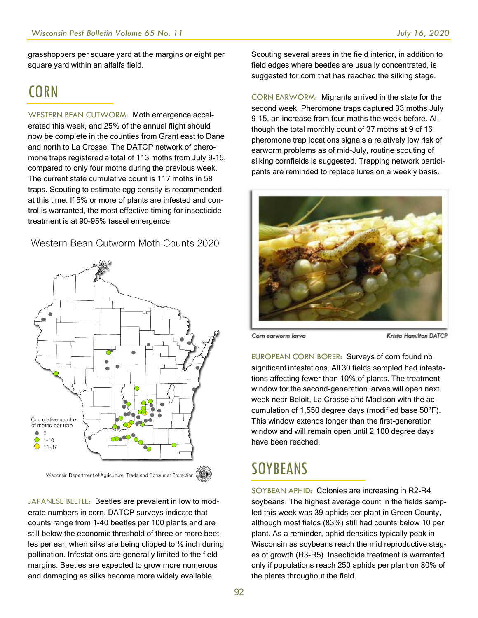grasshoppers per square yard at the margins or eight per square yard within an alfalfa field.

#### **CORN**

WESTERN BEAN CUTWORM: Moth emergence accelerated this week, and 25% of the annual flight should now be complete in the counties from Grant east to Dane and north to La Crosse. The DATCP network of pheromone traps registered a total of 113 moths from July 9-15, compared to only four moths during the previous week. The current state cumulative count is 117 moths in 58 traps. Scouting to estimate egg density is recommended at this time. If 5% or more of plants are infested and control is warranted, the most effective timing for insecticide treatment is at 90-95% tassel emergence.

Western Bean Cutworm Moth Counts 2020



JAPANESE BEETLE: Beetles are prevalent in low to moderate numbers in corn. DATCP surveys indicate that counts range from 1-40 beetles per 100 plants and are still below the economic threshold of three or more beetles per ear, when silks are being clipped to ½ inch during pollination. Infestations are generally limited to the field margins. Beetles are expected to grow more numerous and damaging as silks become more widely available.

Scouting several areas in the field interior, in addition to field edges where beetles are usually concentrated, is suggested for corn that has reached the silking stage.

CORN EARWORM: Migrants arrived in the state for the second week. Pheromone traps captured 33 moths July 9-15, an increase from four moths the week before. Although the total monthly count of 37 moths at 9 of 16 pheromone trap locations signals a relatively low risk of earworm problems as of mid-July, routine scouting of silking cornfields is suggested. Trapping network participants are reminded to replace lures on a weekly basis.



Corn earworm larva

Krista Hamilton DATCP

EUROPEAN CORN BORER: Surveys of corn found no significant infestations. All 30 fields sampled had infestations affecting fewer than 10% of plants. The treatment window for the second-generation larvae will open next week near Beloit, La Crosse and Madison with the accumulation of 1,550 degree days (modified base 50°F). This window extends longer than the first-generation window and will remain open until 2,100 degree days have been reached.

#### **SOYBEANS**

SOYBEAN APHID: Colonies are increasing in R2-R4 soybeans. The highest average count in the fields sampled this week was 39 aphids per plant in Green County, although most fields (83%) still had counts below 10 per plant. As a reminder, aphid densities typically peak in Wisconsin as soybeans reach the mid reproductive stages of growth (R3-R5). Insecticide treatment is warranted only if populations reach 250 aphids per plant on 80% of the plants throughout the field.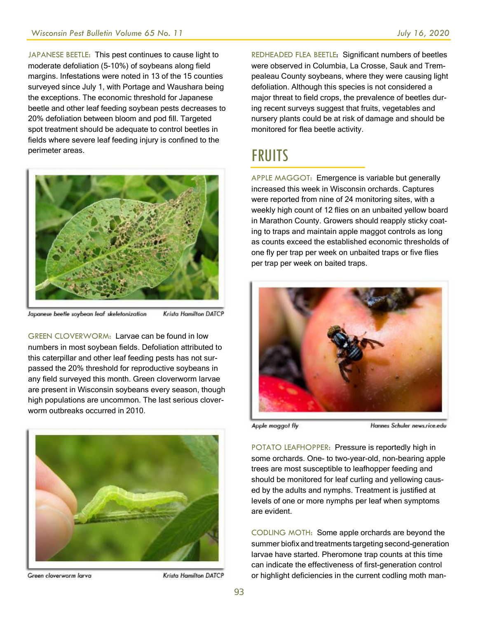JAPANESE BEETLE: This pest continues to cause light to moderate defoliation (5-10%) of soybeans along field margins. Infestations were noted in 13 of the 15 counties surveyed since July 1, with Portage and Waushara being the exceptions. The economic threshold for Japanese beetle and other leaf feeding soybean pests decreases to 20% defoliation between bloom and pod fill. Targeted spot treatment should be adequate to control beetles in fields where severe leaf feeding injury is confined to the perimeter areas.



Japanese beetle soybean leaf skeletonization Krista Hamilton DATCP

GREEN CLOVERWORM: Larvae can be found in low numbers in most soybean fields. Defoliation attributed to this caterpillar and other leaf feeding pests has not surpassed the 20% threshold for reproductive soybeans in any field surveyed this month. Green cloverworm larvae are present in Wisconsin soybeans every season, though high populations are uncommon. The last serious cloverworm outbreaks occurred in 2010.



Green cloverworm larva

**Krista Hamilton DATCP** 

REDHEADED FLEA BEETLE: Significant numbers of beetles were observed in Columbia, La Crosse, Sauk and Trempealeau County soybeans, where they were causing light defoliation. Although this species is not considered a major threat to field crops, the prevalence of beetles during recent surveys suggest that fruits, vegetables and nursery plants could be at risk of damage and should be monitored for flea beetle activity.

## FRUITS

APPLE MAGGOT: Emergence is variable but generally increased this week in Wisconsin orchards. Captures were reported from nine of 24 monitoring sites, with a weekly high count of 12 flies on an unbaited yellow board in Marathon County. Growers should reapply sticky coating to traps and maintain apple maggot controls as long as counts exceed the established economic thresholds of one fly per trap per week on unbaited traps or five flies per trap per week on baited traps.



Apple maggot fly

Hannes Schuler news rice edu

POTATO LEAFHOPPER: Pressure is reportedly high in some orchards. One- to two-year-old, non-bearing apple trees are most susceptible to leafhopper feeding and should be monitored for leaf curling and yellowing caused by the adults and nymphs. Treatment is justified at levels of one or more nymphs per leaf when symptoms are evident.

CODLING MOTH: Some apple orchards are beyond the summer biofix and treatments targeting second-generation larvae have started. Pheromone trap counts at this time can indicate the effectiveness of first-generation control or highlight deficiencies in the current codling moth man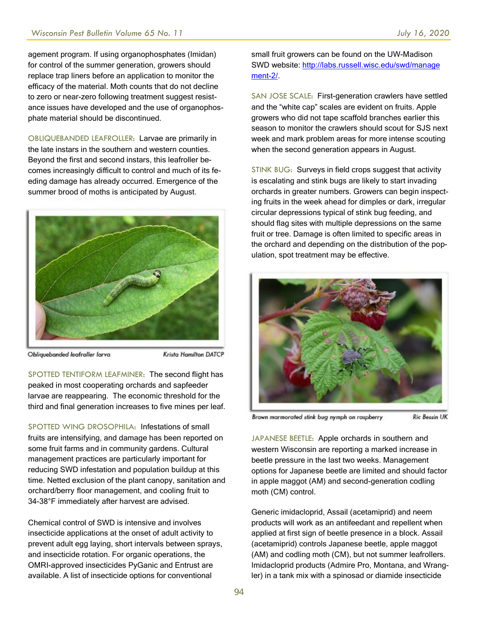agement program. If using organophosphates (Imidan) for control of the summer generation, growers should replace trap liners before an application to monitor the efficacy of the material. Moth counts that do not decline to zero or near-zero following treatment suggest resistance issues have developed and the use of organophosphate material should be discontinued.

OBLIQUEBANDED LEAFROLLER: Larvae are primarily in the late instars in the southern and western counties. Beyond the first and second instars, this leafroller becomes increasingly difficult to control and much of its feeding damage has already occurred. Emergence of the summer brood of moths is anticipated by August.



Obliquebanded leafroller larva

**Krista Hamilton DATCP** 

SPOTTED TENTIFORM LEAFMINER: The second flight has peaked in most cooperating orchards and sapfeeder larvae are reappearing. The economic threshold for the third and final generation increases to five mines per leaf.

SPOTTED WING DROSOPHILA: Infestations of small fruits are intensifying, and damage has been reported on some fruit farms and in community gardens. Cultural management practices are particularly important for reducing SWD infestation and population buildup at this time. Netted exclusion of the plant canopy, sanitation and orchard/berry floor management, and cooling fruit to 34-38°F immediately after harvest are advised.

Chemical control of SWD is intensive and involves insecticide applications at the onset of adult activity to prevent adult egg laying, short intervals between sprays, and insecticide rotation. For organic operations, the OMRI-approved insecticides PyGanic and Entrust are available. A list of insecticide options for conventional

small fruit growers can be found on the UW-Madison SWD website: [http://labs.russell.wisc.edu/swd/manage](http://labs.russell.wisc.edu/swd/manage%20ment-2/)  [ment-2/.](http://labs.russell.wisc.edu/swd/manage%20ment-2/)

SAN JOSE SCALE: First-generation crawlers have settled and the "white cap" scales are evident on fruits. Apple growers who did not tape scaffold branches earlier this season to monitor the crawlers should scout for SJS next week and mark problem areas for more intense scouting when the second generation appears in August.

STINK BUG: Surveys in field crops suggest that activity is escalating and stink bugs are likely to start invading orchards in greater numbers. Growers can begin inspecting fruits in the week ahead for dimples or dark, irregular circular depressions typical of stink bug feeding, and should flag sites with multiple depressions on the same fruit or tree. Damage is often limited to specific areas in the orchard and depending on the distribution of the population, spot treatment may be effective.



Brown marmorated stink bug nymph on raspberry **Ric Bessin UK** 

JAPANESE BEETLE: Apple orchards in southern and western Wisconsin are reporting a marked increase in beetle pressure in the last two weeks. Management options for Japanese beetle are limited and should factor in apple maggot (AM) and second-generation codling moth (CM) control.

Generic imidacloprid, Assail (acetamiprid) and neem products will work as an antifeedant and repellent when applied at first sign of beetle presence in a block. Assail (acetamiprid) controls Japanese beetle, apple maggot (AM) and codling moth (CM), but not summer leafrollers. Imidacloprid products (Admire Pro, Montana, and Wrangler) in a tank mix with a spinosad or diamide insecticide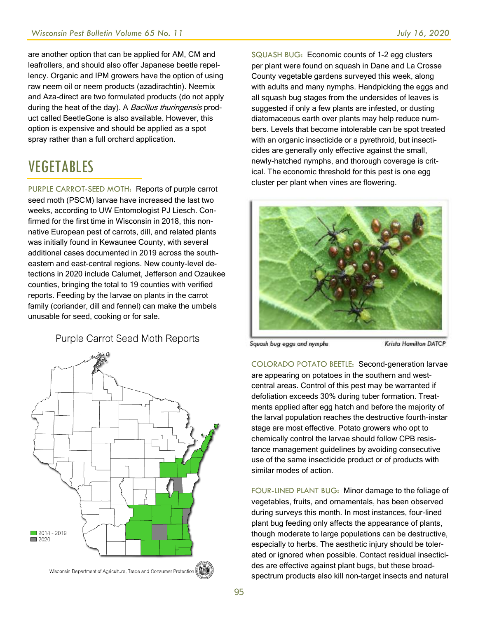are another option that can be applied for AM, CM and leafrollers, and should also offer Japanese beetle repellency. Organic and IPM growers have the option of using raw neem oil or neem products (azadirachtin). Neemix and Aza-direct are two formulated products (do not apply during the heat of the day). A Bacillus thuringensis product called BeetleGone is also available. However, this option is expensive and should be applied as a spot spray rather than a full orchard application.

## VEGETABLES

PURPLE CARROT-SEED MOTH: Reports of purple carrot seed moth (PSCM) larvae have increased the last two weeks, according to UW Entomologist PJ Liesch. Confirmed for the first time in Wisconsin in 2018, this nonnative European pest of carrots, dill, and related plants was initially found in Kewaunee County, with several additional cases documented in 2019 across the southeastern and east-central regions. New county-level detections in 2020 include Calumet, Jefferson and Ozaukee counties, bringing the total to 19 counties with verified reports. Feeding by the larvae on plants in the carrot family (coriander, dill and fennel) can make the umbels unusable for seed, cooking or for sale.

#### Purple Carrot Seed Moth Reports



SQUASH BUG: Economic counts of 1-2 egg clusters per plant were found on squash in Dane and La Crosse County vegetable gardens surveyed this week, along with adults and many nymphs. Handpicking the eggs and all squash bug stages from the undersides of leaves is suggested if only a few plants are infested, or dusting diatomaceous earth over plants may help reduce numbers. Levels that become intolerable can be spot treated with an organic insecticide or a pyrethroid, but insecticides are generally only effective against the small, newly-hatched nymphs, and thorough coverage is critical. The economic threshold for this pest is one egg cluster per plant when vines are flowering.



Squash bug eggs and nymphs

Krista Hamilton DATCP

COLORADO POTATO BEETLE: Second-generation larvae are appearing on potatoes in the southern and westcentral areas. Control of this pest may be warranted if defoliation exceeds 30% during tuber formation. Treatments applied after egg hatch and before the majority of the larval population reaches the destructive fourth-instar stage are most effective. Potato growers who opt to chemically control the larvae should follow CPB resistance management guidelines by avoiding consecutive use of the same insecticide product or of products with similar modes of action.

FOUR-LINED PLANT BUG: Minor damage to the foliage of vegetables, fruits, and ornamentals, has been observed during surveys this month. In most instances, four-lined plant bug feeding only affects the appearance of plants, though moderate to large populations can be destructive, especially to herbs. The aesthetic injury should be tolerated or ignored when possible. Contact residual insecticides are effective against plant bugs, but these broadspectrum products also kill non-target insects and natural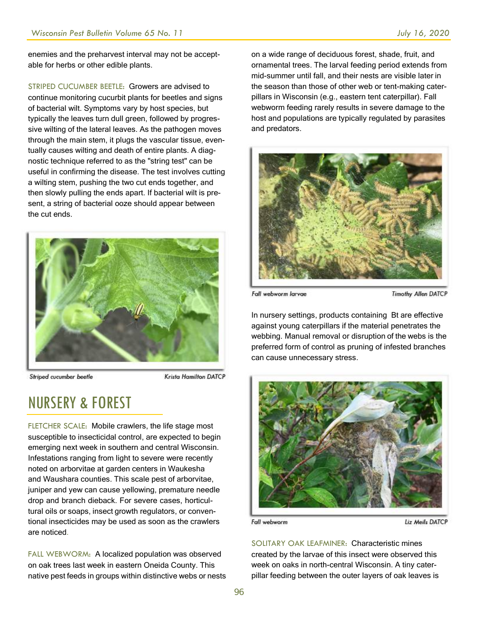enemies and the preharvest interval may not be acceptable for herbs or other edible plants.

STRIPED CUCUMBER BEETLE: Growers are advised to continue monitoring cucurbit plants for beetles and signs of bacterial wilt. Symptoms vary by host species, but typically the leaves turn dull green, followed by progressive wilting of the lateral leaves. As the pathogen moves through the main stem, it plugs the vascular tissue, eventually causes wilting and death of entire plants. A diagnostic technique referred to as the "string test" can be useful in confirming the disease. The test involves cutting a wilting stem, pushing the two cut ends together, and then slowly pulling the ends apart. If bacterial wilt is present, a string of bacterial ooze should appear between the cut ends.



Striped cucumber beetle

Krista Hamilton DATCP

#### NURSERY & FOREST

FLETCHER SCALE: Mobile crawlers, the life stage most susceptible to insecticidal control, are expected to begin emerging next week in southern and central Wisconsin. Infestations ranging from light to severe were recently noted on arborvitae at garden centers in Waukesha and Waushara counties. This scale pest of arborvitae, juniper and yew can cause yellowing, premature needle drop and branch dieback. For severe cases, horticultural oils or soaps, insect growth regulators, or conventional insecticides may be used as soon as the crawlers are noticed.

FALL WEBWORM: A localized population was observed on oak trees last week in eastern Oneida County. This native pest feeds in groups within distinctive webs or nests on a wide range of deciduous forest, shade, fruit, and ornamental trees. The larval feeding period extends from mid-summer until fall, and their nests are visible later in the season than those of other web or tent-making caterpillars in Wisconsin (e.g., eastern tent caterpillar). Fall webworm feeding rarely results in severe damage to the host and populations are typically regulated by parasites and predators.



Fall webworm larvae

Timothy Allen DATCP

In nursery settings, products containing Bt are effective against young caterpillars if the material penetrates the webbing. Manual removal or disruption of the webs is the preferred form of control as pruning of infested branches can cause unnecessary stress.



Fall webworm

Liz Meils DATCP

SOLITARY OAK LEAFMINER: Characteristic mines created by the larvae of this insect were observed this week on oaks in north-central Wisconsin. A tiny caterpillar feeding between the outer layers of oak leaves is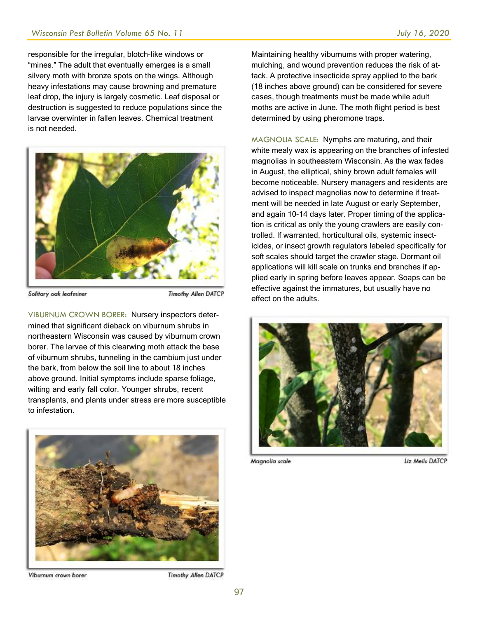responsible for the irregular, blotch-like windows or "mines." The adult that eventually emerges is a small silvery moth with bronze spots on the wings. Although heavy infestations may cause browning and premature leaf drop, the injury is largely cosmetic. Leaf disposal or destruction is suggested to reduce populations since the larvae overwinter in fallen leaves. Chemical treatment is not needed.



Solitary oak leafminer

**Timothy Allen DATCP** 

VIBURNUM CROWN BORER: Nursery inspectors determined that significant dieback on viburnum shrubs in northeastern Wisconsin was caused by viburnum crown borer. The larvae of this clearwing moth attack the base of viburnum shrubs, tunneling in the cambium just under the bark, from below the soil line to about 18 inches above ground. Initial symptoms include sparse foliage, wilting and early fall color. Younger shrubs, recent transplants, and plants under stress are more susceptible to infestation.



Viburnum crown borer

**Timothy Allen DATCP** 

Maintaining healthy viburnums with proper watering, mulching, and wound prevention reduces the risk of attack. A protective insecticide spray applied to the bark (18 inches above ground) can be considered for severe cases, though treatments must be made while adult moths are active in June. The moth flight period is best determined by using pheromone traps.

MAGNOLIA SCALE: Nymphs are maturing, and their white mealy wax is appearing on the branches of infested magnolias in southeastern Wisconsin. As the wax fades in August, the elliptical, shiny brown adult females will become noticeable. Nursery managers and residents are advised to inspect magnolias now to determine if treatment will be needed in late August or early September, and again 10-14 days later. Proper timing of the application is critical as only the young crawlers are easily controlled. If warranted, horticultural oils, systemic insecticides, or insect growth regulators labeled specifically for soft scales should target the crawler stage. Dormant oil applications will kill scale on trunks and branches if applied early in spring before leaves appear. Soaps can be effective against the immatures, but usually have no effect on the adults.



Magnolia scale

Liz Meils DATCP